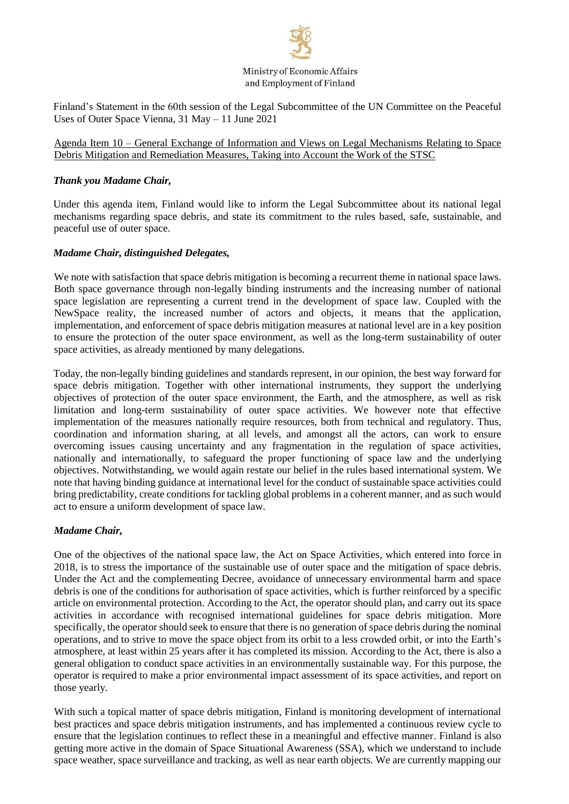

Ministry of Economic Affairs and Employment of Finland

Finland's Statement in the 60th session of the Legal Subcommittee of the UN Committee on the Peaceful Uses of Outer Space Vienna, 31 May – 11 June 2021

Agenda Item 10 – General Exchange of Information and Views on Legal Mechanisms Relating to Space Debris Mitigation and Remediation Measures, Taking into Account the Work of the STSC

## *Thank you Madame Chair,*

Under this agenda item, Finland would like to inform the Legal Subcommittee about its national legal mechanisms regarding space debris, and state its commitment to the rules based, safe, sustainable, and peaceful use of outer space.

# *Madame Chair, distinguished Delegates,*

We note with satisfaction that space debris mitigation is becoming a recurrent theme in national space laws. Both space governance through non-legally binding instruments and the increasing number of national space legislation are representing a current trend in the development of space law. Coupled with the NewSpace reality, the increased number of actors and objects, it means that the application, implementation, and enforcement of space debris mitigation measures at national level are in a key position to ensure the protection of the outer space environment, as well as the long-term sustainability of outer space activities, as already mentioned by many delegations.

Today, the non-legally binding guidelines and standards represent, in our opinion, the best way forward for space debris mitigation. Together with other international instruments, they support the underlying objectives of protection of the outer space environment, the Earth, and the atmosphere, as well as risk limitation and long-term sustainability of outer space activities. We however note that effective implementation of the measures nationally require resources, both from technical and regulatory. Thus, coordination and information sharing, at all levels, and amongst all the actors, can work to ensure overcoming issues causing uncertainty and any fragmentation in the regulation of space activities, nationally and internationally, to safeguard the proper functioning of space law and the underlying objectives. Notwithstanding, we would again restate our belief in the rules based international system. We note that having binding guidance at international level for the conduct of sustainable space activities could bring predictability, create conditions for tackling global problems in a coherent manner, and as such would act to ensure a uniform development of space law.

#### *Madame Chair,*

One of the objectives of the national space law, the Act on Space Activities, which entered into force in 2018, is to stress the importance of the sustainable use of outer space and the mitigation of space debris. Under the Act and the complementing Decree, avoidance of unnecessary environmental harm and space debris is one of the conditions for authorisation of space activities, which is further reinforced by a specific article on environmental protection. According to the Act, the operator should plan, and carry out its space activities in accordance with recognised international guidelines for space debris mitigation. More specifically, the operator should seek to ensure that there is no generation of space debris during the nominal operations, and to strive to move the space object from its orbit to a less crowded orbit, or into the Earth's atmosphere, at least within 25 years after it has completed its mission. According to the Act, there is also a general obligation to conduct space activities in an environmentally sustainable way. For this purpose, the operator is required to make a prior environmental impact assessment of its space activities, and report on those yearly.

With such a topical matter of space debris mitigation, Finland is monitoring development of international best practices and space debris mitigation instruments, and has implemented a continuous review cycle to ensure that the legislation continues to reflect these in a meaningful and effective manner. Finland is also getting more active in the domain of Space Situational Awareness (SSA), which we understand to include space weather, space surveillance and tracking, as well as near earth objects. We are currently mapping our